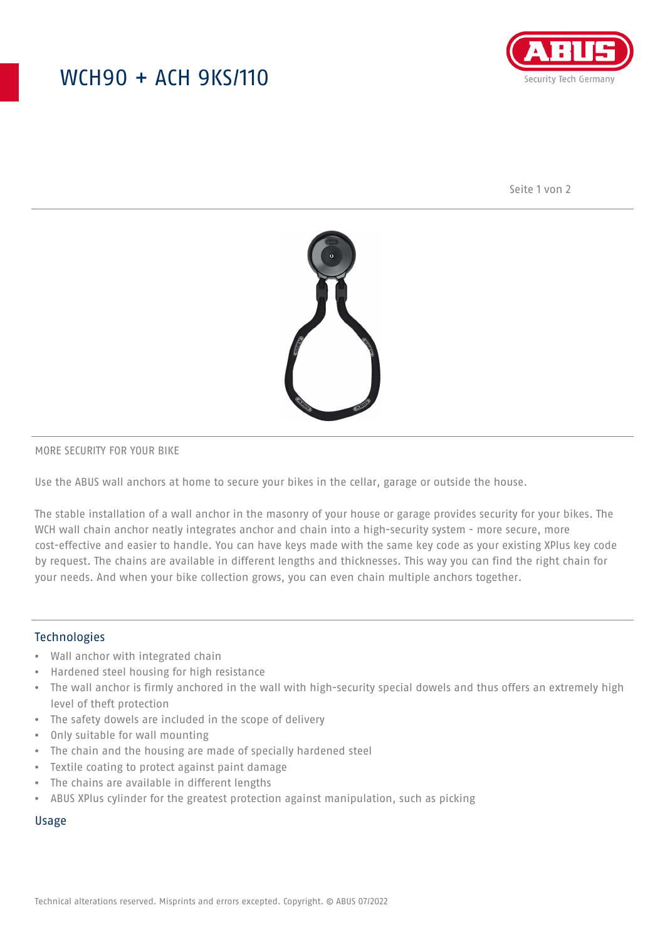## WCH90 + ACH 9KS/110



Seite 1 von 2



#### MORE SECURITY FOR YOUR BIKE

Use the ABUS wall anchors at home to secure your bikes in the cellar, garage or outside the house.

The stable installation of a wall anchor in the masonry of your house or garage provides security for your bikes. The WCH wall chain anchor neatly integrates anchor and chain into a high-security system - more secure, more cost-effective and easier to handle. You can have keys made with the same key code as your existing XPlus key code by request. The chains are available in different lengths and thicknesses. This way you can find the right chain for your needs. And when your bike collection grows, you can even chain multiple anchors together.

#### Technologies

- Wall anchor with integrated chain
- Hardened steel housing for high resistance
- The wall anchor is firmly anchored in the wall with high-security special dowels and thus offers an extremely high level of theft protection
- The safety dowels are included in the scope of delivery
- Only suitable for wall mounting
- The chain and the housing are made of specially hardened steel
- Textile coating to protect against paint damage
- The chains are available in different lengths
- ABUS XPlus cylinder for the greatest protection against manipulation, such as picking

#### Usage